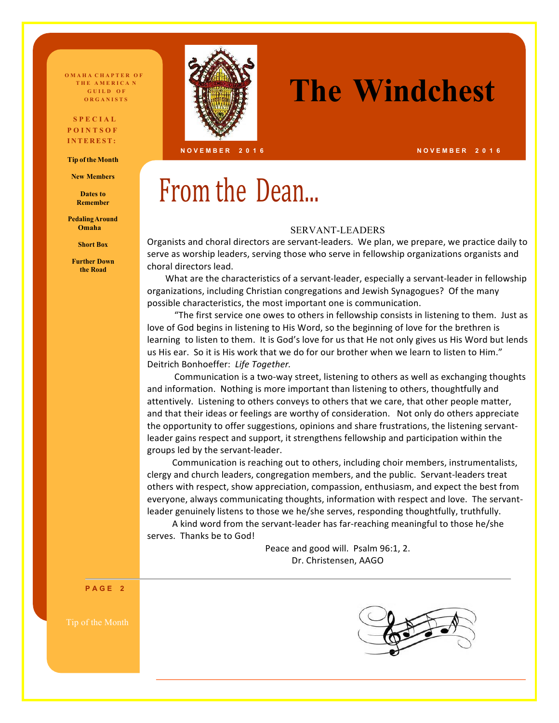**OMAHA CHAPTER OF T H E A M E R I C A N G U I L D O F** 

#### **S P E C I A L P O I N T S O F I N T E R EST :**

**Tip oftheMonth** 

**New Members**

**Dates to Remember**

**PedalingAround Omaha**

**Short Box**

**Further Down the Road**



## **THE AMERICAN SERIES THE Windchest**

**N O V E M B E R 2 0 1 6**

## From the Dean...

#### SERVANT-LEADERS

Organists and choral directors are servant-leaders. We plan, we prepare, we practice daily to serve as worship leaders, serving those who serve in fellowship organizations organists and choral directors lead.

What are the characteristics of a servant-leader, especially a servant-leader in fellowship organizations, including Christian congregations and Jewish Synagogues? Of the many possible characteristics, the most important one is communication.

"The first service one owes to others in fellowship consists in listening to them. Just as love of God begins in listening to His Word, so the beginning of love for the brethren is learning to listen to them. It is God's love for us that He not only gives us His Word but lends us His ear. So it is His work that we do for our brother when we learn to listen to Him." Deitrich Bonhoeffer: Life Together.

Communication is a two-way street, listening to others as well as exchanging thoughts and information. Nothing is more important than listening to others, thoughtfully and attentively. Listening to others conveys to others that we care, that other people matter, and that their ideas or feelings are worthy of consideration. Not only do others appreciate the opportunity to offer suggestions, opinions and share frustrations, the listening servantleader gains respect and support, it strengthens fellowship and participation within the groups led by the servant-leader.

Communication is reaching out to others, including choir members, instrumentalists, clergy and church leaders, congregation members, and the public. Servant-leaders treat others with respect, show appreciation, compassion, enthusiasm, and expect the best from everyone, always communicating thoughts, information with respect and love. The servantleader genuinely listens to those we he/she serves, responding thoughtfully, truthfully.

A kind word from the servant-leader has far-reaching meaningful to those he/she serves. Thanks be to God!

> Peace and good will. Psalm 96:1, 2. Dr. Christensen, AAGO

**P A G E 2**





**N O V E M B E R 2 0 1 6**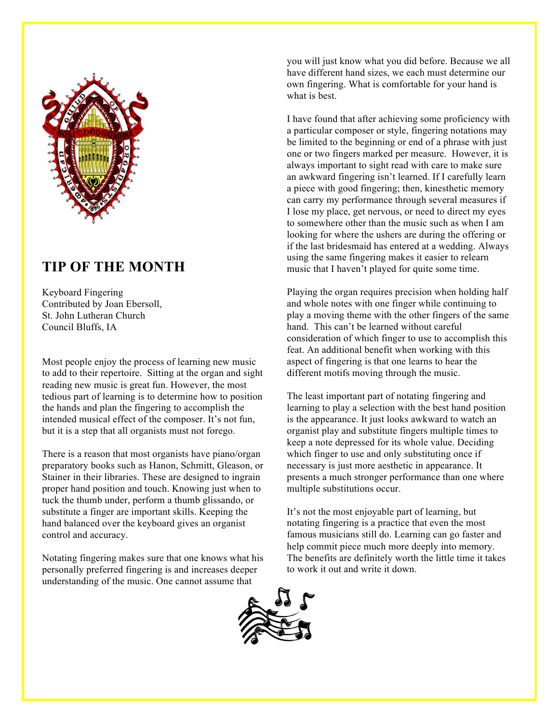

## **TIP OF THE MONTH**

Keyboard Fingering Contributed by Joan Ebersoll, St. John Lutheran Church Council Bluffs, IA

Most people enjoy the process of learning new music to add to their repertoire. Sitting at the organ and sight reading new music is great fun. However, the most tedious part of learning is to determine how to position the hands and plan the fingering to accomplish the intended musical effect of the composer. It's not fun, but it is a step that all organists must not forego.

There is a reason that most organists have piano/organ preparatory books such as Hanon, Schmitt, Gleason, or Stainer in their libraries. These are designed to ingrain proper hand position and touch. Knowing just when to tuck the thumb under, perform a thumb glissando, or substitute a finger are important skills. Keeping the hand balanced over the keyboard gives an organist control and accuracy.

Notating fingering makes sure that one knows what his personally preferred fingering is and increases deeper understanding of the music. One cannot assume that

you will just know what you did before. Because we all have different hand sizes, we each must determine our own fingering. What is comfortable for your hand is what is best.

I have found that after achieving some proficiency with a particular composer or style, fingering notations may be limited to the beginning or end of a phrase with just one or two fingers marked per measure. However, it is always important to sight read with care to make sure an awkward fingering isn't learned. If I carefully learn a piece with good fingering; then, kinesthetic memory can carry my performance through several measures if I lose my place, get nervous, or need to direct my eyes to somewhere other than the music such as when I am looking for where the ushers are during the offering or if the last bridesmaid has entered at a wedding. Always using the same fingering makes it easier to relearn music that I haven't played for quite some time.

Playing the organ requires precision when holding half and whole notes with one finger while continuing to play a moving theme with the other fingers of the same hand. This can't be learned without careful consideration of which finger to use to accomplish this feat. An additional benefit when working with this aspect of fingering is that one learns to hear the different motifs moving through the music.

The least important part of notating fingering and learning to play a selection with the best hand position is the appearance. It just looks awkward to watch an organist play and substitute fingers multiple times to keep a note depressed for its whole value. Deciding which finger to use and only substituting once if necessary is just more aesthetic in appearance. It presents a much stronger performance than one where multiple substitutions occur.

It's not the most enjoyable part of learning, but notating fingering is a practice that even the most famous musicians still do. Learning can go faster and help commit piece much more deeply into memory. The benefits are definitely worth the little time it takes to work it out and write it down.

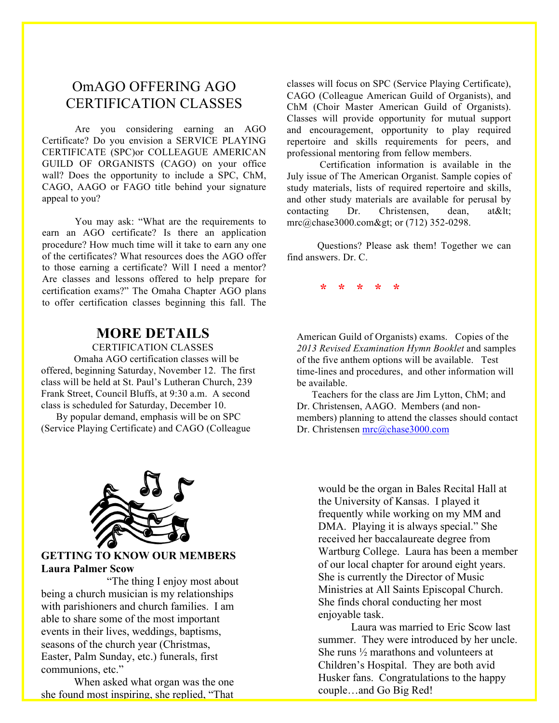### OmAGO OFFERING AGO CERTIFICATION CLASSES

Are you considering earning an AGO Certificate? Do you envision a SERVICE PLAYING CERTIFICATE (SPC)or COLLEAGUE AMERICAN GUILD OF ORGANISTS (CAGO) on your office wall? Does the opportunity to include a SPC, ChM, CAGO, AAGO or FAGO title behind your signature appeal to you?

You may ask: "What are the requirements to earn an AGO certificate? Is there an application procedure? How much time will it take to earn any one of the certificates? What resources does the AGO offer to those earning a certificate? Will I need a mentor? Are classes and lessons offered to help prepare for certification exams?" The Omaha Chapter AGO plans to offer certification classes beginning this fall. The

### **MORE DETAILS**

CERTIFICATION CLASSES

Omaha AGO certification classes will be offered, beginning Saturday, November 12. The first class will be held at St. Paul's Lutheran Church, 239 Frank Street, Council Bluffs, at 9:30 a.m. A second class is scheduled for Saturday, December 10.

 By popular demand, emphasis will be on SPC (Service Playing Certificate) and CAGO (Colleague classes will focus on SPC (Service Playing Certificate), CAGO (Colleague American Guild of Organists), and ChM (Choir Master American Guild of Organists). Classes will provide opportunity for mutual support and encouragement, opportunity to play required repertoire and skills requirements for peers, and professional mentoring from fellow members.

Certification information is available in the July issue of The American Organist. Sample copies of study materials, lists of required repertoire and skills, and other study materials are available for perusal by contacting Dr. Christensen, dean, at<  $mrc@chase3000.com>$ ; or (712) 352-0298.

 Questions? Please ask them! Together we can find answers. Dr. C.

**\* \* \* \* \***

American Guild of Organists) exams. Copies of the *2013 Revised Examination Hymn Booklet* and samples of the five anthem options will be available. Test time-lines and procedures, and other information will be available.

 Teachers for the class are Jim Lytton, ChM; and Dr. Christensen, AAGO. Members (and nonmembers) planning to attend the classes should contact Dr. Christensen mrc@chase3000.com



#### **GETTING TO KNOW OUR MEMBERS Laura Palmer Scow**

"The thing I enjoy most about being a church musician is my relationships with parishioners and church families. I am able to share some of the most important events in their lives, weddings, baptisms, seasons of the church year (Christmas, Easter, Palm Sunday, etc.) funerals, first communions, etc."

When asked what organ was the one she found most inspiring, she replied, "That would be the organ in Bales Recital Hall at the University of Kansas. I played it frequently while working on my MM and DMA. Playing it is always special." She received her baccalaureate degree from Wartburg College. Laura has been a member of our local chapter for around eight years. She is currently the Director of Music Ministries at All Saints Episcopal Church. She finds choral conducting her most enjoyable task.

Laura was married to Eric Scow last summer. They were introduced by her uncle. She runs ½ marathons and volunteers at Children's Hospital. They are both avid Husker fans. Congratulations to the happy couple…and Go Big Red!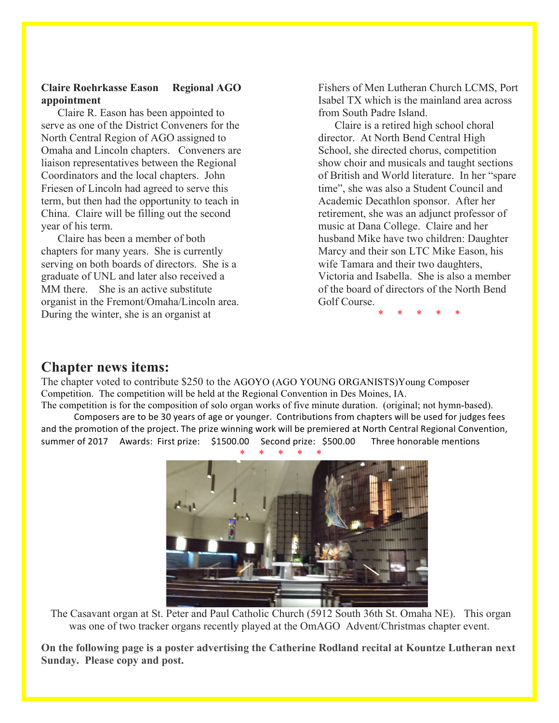#### **Claire Roehrkasse Eason Regional AGO appointment**

Claire R. Eason has been appointed to serve as one of the District Conveners for the North Central Region of AGO assigned to Omaha and Lincoln chapters. Conveners are liaison representatives between the Regional Coordinators and the local chapters. John Friesen of Lincoln had agreed to serve this term, but then had the opportunity to teach in China. Claire will be filling out the second year of his term.

Claire has been a member of both chapters for many years. She is currently serving on both boards of directors. She is a graduate of UNL and later also received a MM there. She is an active substitute organist in the Fremont/Omaha/Lincoln area. During the winter, she is an organist at

Fishers of Men Lutheran Church LCMS, Port Isabel TX which is the mainland area across from South Padre Island.

 Claire is a retired high school choral director. At North Bend Central High School, she directed chorus, competition show choir and musicals and taught sections of British and World literature. In her "spare time", she was also a Student Council and Academic Decathlon sponsor. After her retirement, she was an adjunct professor of music at Dana College. Claire and her husband Mike have two children: Daughter Marcy and their son LTC Mike Eason, his wife Tamara and their two daughters, Victoria and Isabella. She is also a member of the board of directors of the North Bend Golf Course.

\* \* \* \* \*

### **Chapter news items:**

The chapter voted to contribute \$250 to the AGOYO (AGO YOUNG ORGANISTS)Young Composer Competition. The competition will be held at the Regional Convention in Des Moines, IA.

The competition is for the composition of solo organ works of five minute duration. (original; not hymn-based). Composers are to be 30 years of age or younger. Contributions from chapters will be used for judges fees and the promotion of the project. The prize winning work will be premiered at North Central Regional Convention, summer of 2017 Awards: First prize: \$1500.00 Second prize: \$500.00 Three honorable mentions



The Casavant organ at St. Peter and Paul Catholic Church (5912 South 36th St. Omaha NE). This organ was one of two tracker organs recently played at the OmAGO Advent/Christmas chapter event.

**On the following page is a poster advertising the Catherine Rodland recital at Kountze Lutheran next Sunday. Please copy and post.**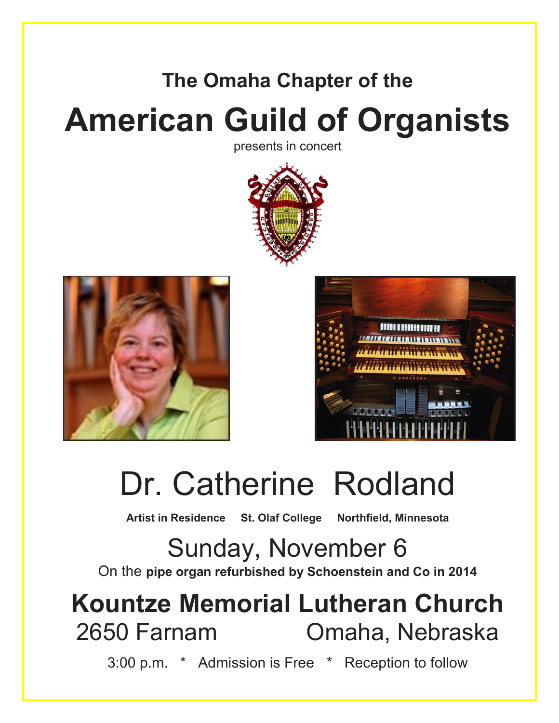## **The Omaha Chapter of the American Guild of Organists**

presents in concert





**Sonja Lundgren**



# Dr. Catherine Rodland

**Artist in Residence St. Olaf College Northfield, Minnesota**

Sunday, November 6 On the **pipe organ refurbished by Schoenstein and Co in 2014**

## **Kountze Memorial Lutheran Church** 2650 Farnam Omaha, Nebraska

3:00 p.m. \* Admission is Free \* Reception to follow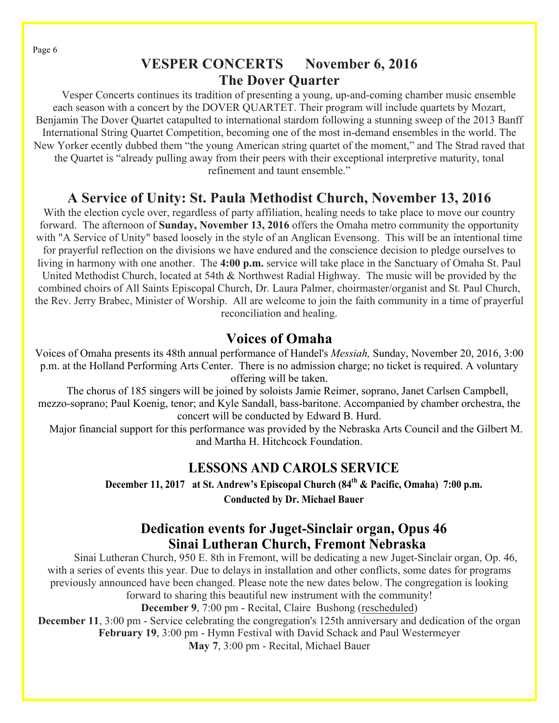Page 6

## **VESPER CONCERTS November 6, 2016 The Dover Quarter**

 Vesper Concerts continues its tradition of presenting a young, up-and-coming chamber music ensemble each season with a concert by the DOVER QUARTET. Their program will include quartets by Mozart, Benjamin The Dover Quartet catapulted to international stardom following a stunning sweep of the 2013 Banff International String Quartet Competition, becoming one of the most in-demand ensembles in the world. The New Yorker ecently dubbed them "the young American string quartet of the moment," and The Strad raved that the Quartet is "already pulling away from their peers with their exceptional interpretive maturity, tonal refinement and taunt ensemble."

## **A Service of Unity: St. Paula Methodist Church, November 13, 2016**

With the election cycle over, regardless of party affiliation, healing needs to take place to move our country forward. The afternoon of **Sunday, November 13, 2016** offers the Omaha metro community the opportunity with "A Service of Unity" based loosely in the style of an Anglican Evensong. This will be an intentional time for prayerful reflection on the divisions we have endured and the conscience decision to pledge ourselves to living in harmony with one another. The **4:00 p.m.** service will take place in the Sanctuary of Omaha St. Paul United Methodist Church, located at 54th & Northwest Radial Highway. The music will be provided by the combined choirs of All Saints Episcopal Church, Dr. Laura Palmer, choirmaster/organist and St. Paul Church, the Rev. Jerry Brabec, Minister of Worship. All are welcome to join the faith community in a time of prayerful reconciliation and healing.

## **Voices of Omaha**

Voices of Omaha presents its 48th annual performance of Handel's *Messiah,* Sunday, November 20, 2016, 3:00 p.m. at the Holland Performing Arts Center. There is no admission charge; no ticket is required. A voluntary offering will be taken.

 The chorus of 185 singers will be joined by soloists Jamie Reimer, soprano, Janet Carlsen Campbell, mezzo-soprano; Paul Koenig, tenor; and Kyle Sandall, bass-baritone. Accompanied by chamber orchestra, the concert will be conducted by Edward B. Hurd.

 Major financial support for this performance was provided by the Nebraska Arts Council and the Gilbert M. and Martha H. Hitchcock Foundation.

### **LESSONS AND CAROLS SERVICE**

**December 11, 2017 at St. Andrew's Episcopal Church (84th & Pacific, Omaha) 7:00 p.m. Conducted by Dr. Michael Bauer**

### **Dedication events for Juget-Sinclair organ, Opus 46 Sinai Lutheran Church, Fremont Nebraska**

Sinai Lutheran Church, 950 E. 8th in Fremont, will be dedicating a new Juget-Sinclair organ, Op. 46, with a series of events this year. Due to delays in installation and other conflicts, some dates for programs previously announced have been changed. Please note the new dates below. The congregation is looking forward to sharing this beautiful new instrument with the community!

**December 9**, 7:00 pm - Recital, Claire Bushong (rescheduled)

**December 11,** 3:00 pm - Service celebrating the congregation's 125th anniversary and dedication of the organ **February 19**, 3:00 pm - Hymn Festival with David Schack and Paul Westermeyer **May 7**, 3:00 pm - Recital, Michael Bauer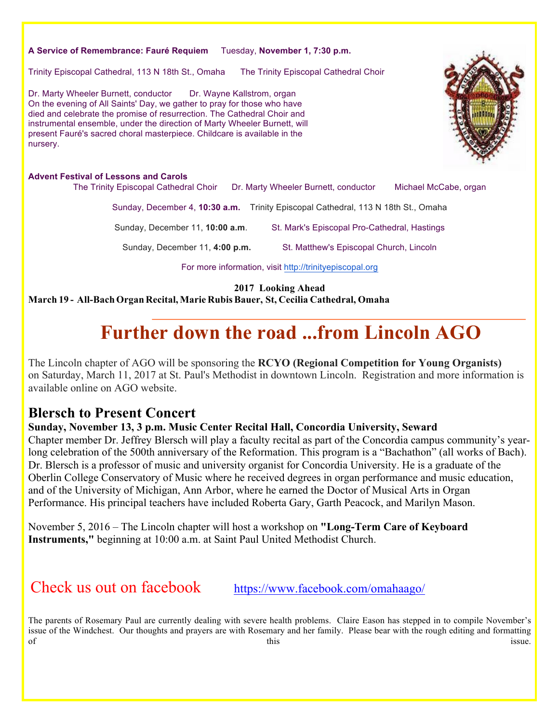#### **A Service of Remembrance: Fauré Requiem** Tuesday, **November 1, 7:30 p.m.**

Trinity Episcopal Cathedral, 113 N 18th St., Omaha The Trinity Episcopal Cathedral Choir

Dr. Marty Wheeler Burnett, conductor Dr. Wayne Kallstrom, organ On the evening of All Saints' Day, we gather to pray for those who have died and celebrate the promise of resurrection. The Cathedral Choir and instrumental ensemble, under the direction of Marty Wheeler Burnett, will present Fauré's sacred choral masterpiece. Childcare is available in the nursery.

#### **Advent Festival of Lessons and Carols**

The Trinity Episcopal Cathedral Choir Dr. Marty Wheeler Burnett, conductor Michael McCabe, organ Sunday, December 4, **10:30 a.m.** Trinity Episcopal Cathedral, 113 N 18th St., Omaha

Sunday, December 11, **10:00 a.m.** St. Mark's Episcopal Pro-Cathedral, Hastings

Sunday, December 11, **4:00 p.m.** St. Matthew's Episcopal Church, Lincoln

For more information, visit http://trinityepiscopal.org

**2017 Looking Ahead**

**March 19 - All-Bach Organ Recital, Marie RubisBauer, St, Cecilia Cathedral, Omaha**

## **Further down the road ...from Lincoln AGO**

The Lincoln chapter of AGO will be sponsoring the **RCYO (Regional Competition for Young Organists)** on Saturday, March 11, 2017 at St. Paul's Methodist in downtown Lincoln. Registration and more information is available online on AGO website.

### **Blersch to Present Concert**

#### **Sunday, November 13, 3 p.m. Music Center Recital Hall, Concordia University, Seward**

Chapter member Dr. Jeffrey Blersch will play a faculty recital as part of the Concordia campus community's yearlong celebration of the 500th anniversary of the Reformation. This program is a "Bachathon" (all works of Bach). Dr. Blersch is a professor of music and university organist for Concordia University. He is a graduate of the Oberlin College Conservatory of Music where he received degrees in organ performance and music education, and of the University of Michigan, Ann Arbor, where he earned the Doctor of Musical Arts in Organ Performance. His principal teachers have included Roberta Gary, Garth Peacock, and Marilyn Mason.

November 5, 2016 – The Lincoln chapter will host a workshop on **"Long-Term Care of Keyboard Instruments,"** beginning at 10:00 a.m. at Saint Paul United Methodist Church.

Check us out on facebook https://www.facebook.com/omahaago/

The parents of Rosemary Paul are currently dealing with severe health problems. Claire Eason has stepped in to compile November's issue of the Windchest. Our thoughts and prayers are with Rosemary and her family. Please bear with the rough editing and formatting of this issue.